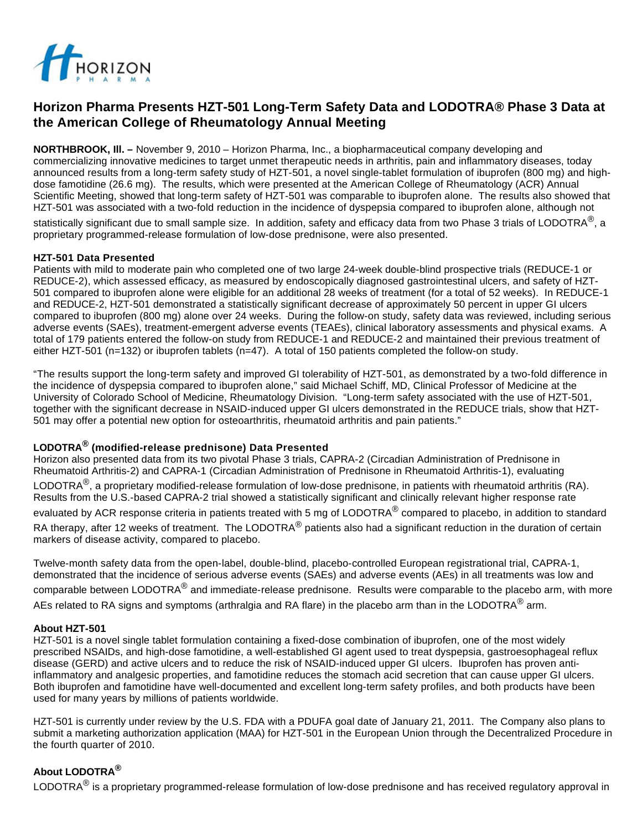

# **Horizon Pharma Presents HZT-501 Long-Term Safety Data and LODOTRA® Phase 3 Data at the American College of Rheumatology Annual Meeting**

**NORTHBROOK, Ill. –** November 9, 2010 – Horizon Pharma, Inc., a biopharmaceutical company developing and commercializing innovative medicines to target unmet therapeutic needs in arthritis, pain and inflammatory diseases, today announced results from a long-term safety study of HZT-501, a novel single-tablet formulation of ibuprofen (800 mg) and highdose famotidine (26.6 mg). The results, which were presented at the American College of Rheumatology (ACR) Annual Scientific Meeting, showed that long-term safety of HZT-501 was comparable to ibuprofen alone. The results also showed that HZT-501 was associated with a two-fold reduction in the incidence of dyspepsia compared to ibuprofen alone, although not statistically significant due to small sample size. In addition, safety and efficacy data from two Phase 3 trials of LODOTRA<sup>®</sup>, a

proprietary programmed-release formulation of low-dose prednisone, were also presented.

### **HZT-501 Data Presented**

Patients with mild to moderate pain who completed one of two large 24-week double-blind prospective trials (REDUCE-1 or REDUCE-2), which assessed efficacy, as measured by endoscopically diagnosed gastrointestinal ulcers, and safety of HZT-501 compared to ibuprofen alone were eligible for an additional 28 weeks of treatment (for a total of 52 weeks). In REDUCE-1 and REDUCE-2, HZT-501 demonstrated a statistically significant decrease of approximately 50 percent in upper GI ulcers compared to ibuprofen (800 mg) alone over 24 weeks. During the follow-on study, safety data was reviewed, including serious adverse events (SAEs), treatment-emergent adverse events (TEAEs), clinical laboratory assessments and physical exams. A total of 179 patients entered the follow-on study from REDUCE-1 and REDUCE-2 and maintained their previous treatment of either HZT-501 (n=132) or ibuprofen tablets (n=47). A total of 150 patients completed the follow-on study.

"The results support the long-term safety and improved GI tolerability of HZT-501, as demonstrated by a two-fold difference in the incidence of dyspepsia compared to ibuprofen alone," said Michael Schiff, MD, Clinical Professor of Medicine at the University of Colorado School of Medicine, Rheumatology Division. "Long-term safety associated with the use of HZT-501, together with the significant decrease in NSAID-induced upper GI ulcers demonstrated in the REDUCE trials, show that HZT-501 may offer a potential new option for osteoarthritis, rheumatoid arthritis and pain patients."

### **LODOTRA® (modified-release prednisone) Data Presented**

Horizon also presented data from its two pivotal Phase 3 trials, CAPRA-2 (Circadian Administration of Prednisone in Rheumatoid Arthritis-2) and CAPRA-1 (Circadian Administration of Prednisone in Rheumatoid Arthritis-1), evaluating LODOTRA<sup>®</sup>, a proprietary modified-release formulation of low-dose prednisone, in patients with rheumatoid arthritis (RA). Results from the U.S.-based CAPRA-2 trial showed a statistically significant and clinically relevant higher response rate evaluated by ACR response criteria in patients treated with 5 mg of LODOTRA<sup>®</sup> compared to placebo, in addition to standard RA therapy, after 12 weeks of treatment. The LODOTRA<sup>®</sup> patients also had a significant reduction in the duration of certain markers of disease activity, compared to placebo.

Twelve-month safety data from the open-label, double-blind, placebo-controlled European registrational trial, CAPRA-1, demonstrated that the incidence of serious adverse events (SAEs) and adverse events (AEs) in all treatments was low and comparable between LODOTRA<sup>®</sup> and immediate-release prednisone. Results were comparable to the placebo arm, with more AEs related to RA signs and symptoms (arthralgia and RA flare) in the placebo arm than in the LODOTRA<sup>®</sup> arm.

### **About HZT-501**

HZT-501 is a novel single tablet formulation containing a fixed-dose combination of ibuprofen, one of the most widely prescribed NSAIDs, and high-dose famotidine, a well-established GI agent used to treat dyspepsia, gastroesophageal reflux disease (GERD) and active ulcers and to reduce the risk of NSAID-induced upper GI ulcers. Ibuprofen has proven antiinflammatory and analgesic properties, and famotidine reduces the stomach acid secretion that can cause upper GI ulcers. Both ibuprofen and famotidine have well-documented and excellent long-term safety profiles, and both products have been used for many years by millions of patients worldwide.

HZT-501 is currently under review by the U.S. FDA with a PDUFA goal date of January 21, 2011. The Company also plans to submit a marketing authorization application (MAA) for HZT-501 in the European Union through the Decentralized Procedure in the fourth quarter of 2010.

## **About LODOTRA®**

LODOTRA<sup>®</sup> is a proprietary programmed-release formulation of low-dose prednisone and has received regulatory approval in